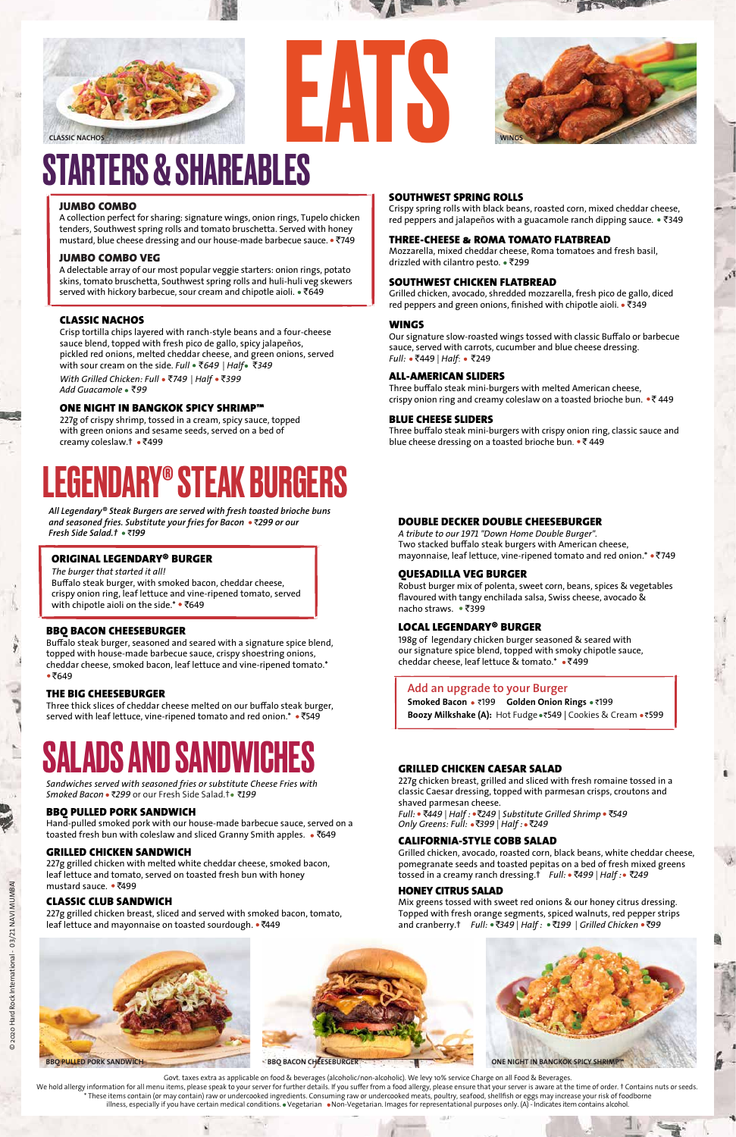#### THREE-CHEESE & ROMA TOMATO FLATBREAD

Mozzarella, mixed cheddar cheese, Roma tomatoes and fresh basil, drizzled with cilantro pesto. • ₹299

Grilled chicken, avocado, shredded mozzarella, fresh pico de gallo, diced red peppers and green onions, finished with chipotle aioli. • ₹349

#### SOUTHWEST CHICKEN FLATBREAD

Our signature slow-roasted wings tossed with classic Buffalo or barbecue sauce, served with carrots, cucumber and blue cheese dressing. *Full:* • ₹449 | *Half*: • ₹249

Three buffalo steak mini-burgers with melted American cheese, crispy onion ring and creamy coleslaw on a toasted brioche bun.  $\bullet \overline{\bullet}$  449

#### WINGS

Three buffalo steak mini-burgers with crispy onion ring, classic sauce and blue cheese dressing on a toasted brioche bun.  $\cdot$  ₹ 449

**Smoked Bacon** `199 **Golden Onion Rings** `199 **Boozy Milkshake (A):** Hot Fudge ·₹549 | Cookies & Cream ·₹599

Robust burger mix of polenta, sweet corn, beans, spices & vegetables flavoured with tangy enchilada salsa, Swiss cheese, avocado & nacho straws. • ₹399

#### ALL-AMERICAN SLIDERS

*A tribute to our 1971 "Down Home Double Burger".* Two stacked buffalo steak burgers with American cheese, mayonnaise, leaf lettuce, vine-ripened tomato and red onion. \* • ₹749

#### BLUE CHEESE SLIDERS

Three thick slices of cheddar cheese melted on our buffalo steak burger, served with leaf lettuce, vine-ripened tomato and red onion.\* • ₹549

# SALADS AND SANDWICHE

#### **Add an upgrade to your Burger**

Buffalo steak burger, seasoned and seared with a signature spice blend, topped with house-made barbecue sauce, crispy shoestring onions, cheddar cheese, smoked bacon, leaf lettuce and vine-ripened tomato.\*  $•7649$ 

Buffalo steak burger, with smoked bacon, cheddar cheese, crispy onion ring, leaf lettuce and vine-ripened tomato, served with chipotle aioli on the side.\*  $•7649$ 

#### QUESADILLA VEG BURGER

#### DOUBLE DECKER DOUBLE CHEESEBURGER

A collection perfect for sharing: signature wings, onion rings, Tupelo chicken tenders, Southwest spring rolls and tomato bruschetta. Served with honey mustard, blue cheese dressing and our house-made barbecue sauce. • ₹749

A delectable array of our most popular veggie starters: onion rings, potato skins, tomato bruschetta, Southwest spring rolls and huli-huli veg skewers served with hickory barbecue, sour cream and chipotle aioli.  $\sqrt[6]{649}$ 

> 198g of legendary chicken burger seasoned & seared with our signature spice blend, topped with smoky chipotle sauce, cheddar cheese, leaf lettuce & tomato.\* `499

#### LOCAL LEGENDARY® BURGER

#### THE BIG CHEESEBURGER

227g of crispy shrimp, tossed in a cream, spicy sauce, topped with green onions and sesame seeds, served on a bed of creamy coleslaw.† • ₹499

#### BBQ BACON CHEESEBURGER

Crispy spring rolls with black beans, roasted corn, mixed cheddar cheese, red peppers and jalapeños with a guacamole ranch dipping sauce.  $\bullet$  ₹349

227g grilled chicken with melted white cheddar cheese, smoked bacon, leaf lettuce and tomato, served on toasted fresh bun with honey mustard sauce. • ₹499

#### ORIGINAL LEGENDARY® BURGER

227g grilled chicken breast, sliced and served with smoked bacon, tomato, leaf lettuce and mayonnaise on toasted sourdough. • ₹449

*The burger that started it all!*

Hand-pulled smoked pork with our house-made barbecue sauce, served on a toasted fresh bun with coleslaw and sliced Granny Smith apples. • ₹649

*All Legendary® Steak Burgers are served with fresh toasted brioche buns and seasoned fries. Substitute your fries for Bacon* `*299 or our Fresh Side Salad.†* `*199*

#### JUMBO COMBO

#### JUMBO COMBO VEG

Govt. taxes extra as applicable on food & beverages (alcoholic/non-alcoholic). We levy 10% service Charge on all Food & Beverages. We hold allergy information for all menu items, please speak to your server for further details. If you suffer from a food allergy, please ensure that your server is aware at the time of order. † Contains nuts or seeds. \* These items contain (or may contain) raw or undercooked ingredients. Consuming raw or undercooked meats, poultry, seafood, shellfish or eggs may increase your risk of foodborne illness, especially if you have certain medical conditions. • Vegetarian • Non-Vegetarian. Images for representational purposes only. (A) - Indicates item contains alcohol.

EATS



 $\mathcal{S}$ 

# STARTERS & SHAREABLES

# LEGENDARY® STEAK BURGERS



#### CLASSIC NACHOS

Crisp tortilla chips layered with ranch-style beans and a four-cheese sauce blend, topped with fresh pico de gallo, spicy jalapeños, pickled red onions, melted cheddar cheese, and green onions, served with sour cream on the side. *Full* `*649* | *Half* `*349*

#### ONE NIGHT IN BANGKOK SPICY SHRIMP™

 *With Grilled Chicken: Full* `*749* | *Half* `*399 Add Guacamole* `*99*

#### SOUTHWEST SPRING ROLLS

#### GRILLED CHICKEN SANDWICH

#### CLASSIC CLUB SANDWICH



#### BBQ PULLED PORK SANDWICH

*Sandwiches served with seasoned fries or substitute Cheese Fries with Smoked Bacon* `*299* or our Fresh Side Salad.† `*199*

#### CALIFORNIA-STYLE COBB SALAD

Grilled chicken, avocado, roasted corn, black beans, white cheddar cheese, pomegranate seeds and toasted pepitas on a bed of fresh mixed greens tossed in a creamy ranch dressing.† *Full:* `*499* | *Half :* `*249*

### HONEY CITRUS SALAD

Mix greens tossed with sweet red onions & our honey citrus dressing. Topped with fresh orange segments, spiced walnuts, red pepper strips and cranberry.† *Full:* `*349* | *Half :* `*199* | *Grilled Chicken* `*99*

### GRILLED CHICKEN CAESAR SALAD

227g chicken breast, grilled and sliced with fresh romaine tossed in a classic Caesar dressing, topped with parmesan crisps, croutons and shaved parmesan cheese.

*Full:* `*449* | *Half :* `*249* | *Substitute Grilled Shrimp* `*549 Only Greens: Full:* `*399* | *Half :* `*249*